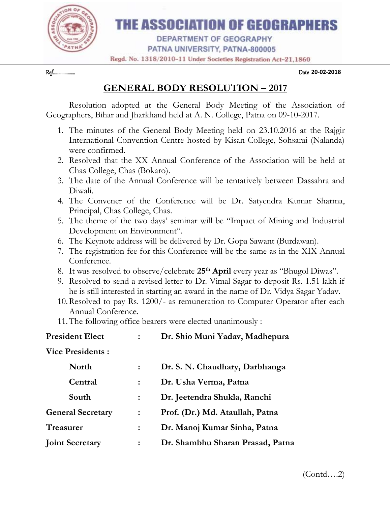

## THE ASSOCIATION OF GEOGRAPHERS

**DEPARTMENT OF GEOGRAPHY** PATNA UNIVERSITY, PATNA-800005

Regd. No. 1318/2010-11 Under Societies Registration Act-21,1860

Ref………………… Date **20-02-2018**

**GENERAL BODY RESOLUTION – 2017**

Resolution adopted at the General Body Meeting of the Association of Geographers, Bihar and Jharkhand held at A. N. College, Patna on 09-10-2017.

- 1. The minutes of the General Body Meeting held on 23.10.2016 at the Rajgir International Convention Centre hosted by Kisan College, Sohsarai (Nalanda) were confirmed.
- 2. Resolved that the XX Annual Conference of the Association will be held at Chas College, Chas (Bokaro).
- 3. The date of the Annual Conference will be tentatively between Dassahra and Diwali.
- 4. The Convener of the Conference will be Dr. Satyendra Kumar Sharma, Principal, Chas College, Chas.
- 5. The theme of the two days' seminar will be "Impact of Mining and Industrial Development on Environment".
- 6. The Keynote address will be delivered by Dr. Gopa Sawant (Burdawan).
- 7. The registration fee for this Conference will be the same as in the XIX Annual Conference.
- 8. It was resolved to observe/celebrate **25th April** every year as "Bhugol Diwas".
- 9. Resolved to send a revised letter to Dr. Vimal Sagar to deposit Rs. 1.51 lakh if he is still interested in starting an award in the name of Dr. Vidya Sagar Yadav.
- 10.Resolved to pay Rs. 1200/- as remuneration to Computer Operator after each Annual Conference.
- 11.The following office bearers were elected unanimously :

| <b>President Elect</b>   |                | Dr. Shio Muni Yadav, Madhepura   |
|--------------------------|----------------|----------------------------------|
| <b>Vice Presidents:</b>  |                |                                  |
| <b>North</b>             |                | Dr. S. N. Chaudhary, Darbhanga   |
| Central                  |                | Dr. Usha Verma, Patna            |
| South                    |                | Dr. Jeetendra Shukla, Ranchi     |
| <b>General Secretary</b> | $\ddot{\cdot}$ | Prof. (Dr.) Md. Ataullah, Patna  |
| <b>Treasurer</b>         |                | Dr. Manoj Kumar Sinha, Patna     |
| <b>Joint Secretary</b>   | $\ddot{\cdot}$ | Dr. Shambhu Sharan Prasad, Patna |
|                          |                |                                  |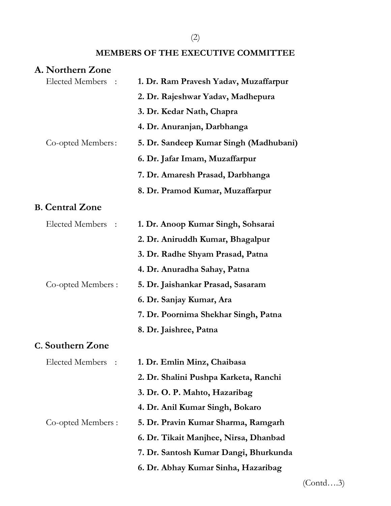## (2)

## **MEMBERS OF THE EXECUTIVE COMMITTEE**

## **A. Northern Zone**

| Elected Members :      | 1. Dr. Ram Pravesh Yadav, Muzaffarpur  |
|------------------------|----------------------------------------|
|                        | 2. Dr. Rajeshwar Yadav, Madhepura      |
|                        | 3. Dr. Kedar Nath, Chapra              |
|                        | 4. Dr. Anuranjan, Darbhanga            |
| Co-opted Members:      | 5. Dr. Sandeep Kumar Singh (Madhubani) |
|                        | 6. Dr. Jafar Imam, Muzaffarpur         |
|                        | 7. Dr. Amaresh Prasad, Darbhanga       |
|                        | 8. Dr. Pramod Kumar, Muzaffarpur       |
| <b>B.</b> Central Zone |                                        |
| Elected Members :      | 1. Dr. Anoop Kumar Singh, Sohsarai     |
|                        | 2. Dr. Aniruddh Kumar, Bhagalpur       |
|                        | 3. Dr. Radhe Shyam Prasad, Patna       |
|                        | 4. Dr. Anuradha Sahay, Patna           |
| Co-opted Members :     | 5. Dr. Jaishankar Prasad, Sasaram      |
|                        | 6. Dr. Sanjay Kumar, Ara               |
|                        | 7. Dr. Poornima Shekhar Singh, Patna   |
|                        | 8. Dr. Jaishree, Patna                 |
| C. Southern Zone       |                                        |
| Elected Members :      | 1. Dr. Emlin Minz, Chaibasa            |
|                        | 2. Dr. Shalini Pushpa Karketa, Ranchi  |
|                        | 3. Dr. O. P. Mahto, Hazaribag          |
|                        | 4. Dr. Anil Kumar Singh, Bokaro        |
| Co-opted Members :     | 5. Dr. Pravin Kumar Sharma, Ramgarh    |
|                        | 6. Dr. Tikait Manjhee, Nirsa, Dhanbad  |
|                        | 7. Dr. Santosh Kumar Dangi, Bhurkunda  |
|                        | 6. Dr. Abhay Kumar Sinha, Hazaribag    |